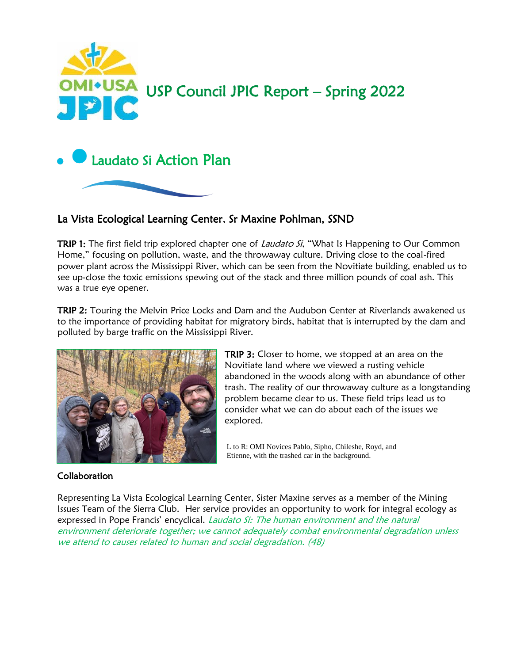

# La Vista Ecological Learning Center, Sr Maxine Pohlman, SSND

TRIP 1: The first field trip explored chapter one of *Laudato Si*, "What Is Happening to Our Common Home," focusing on pollution, waste, and the throwaway culture. Driving close to the coal-fired power plant across the Mississippi River, which can be seen from the Novitiate building, enabled us to see up-close the toxic emissions spewing out of the stack and three million pounds of coal ash. This was a true eye opener.

TRIP 2: Touring the Melvin Price Locks and Dam and the Audubon Center at Riverlands awakened us to the importance of providing habitat for migratory birds, habitat that is interrupted by the dam and polluted by barge traffic on the Mississippi River.



TRIP 3: Closer to home, we stopped at an area on the Novitiate land where we viewed a rusting vehicle abandoned in the woods along with an abundance of other trash. The reality of our throwaway culture as a longstanding problem became clear to us. These field trips lead us to consider what we can do about each of the issues we explored.

 Etienne, with the trashed car in the background.L to R: OMI Novices Pablo, Sipho, Chileshe, Royd, and

#### Collaboration

Representing La Vista Ecological Learning Center, Sister Maxine serves as a member of the Mining Issues Team of the Sierra Club. Her service provides an opportunity to work for integral ecology as expressed in Pope Francis' encyclical. Laudato Si: The human environment and the natural environment deteriorate together; we cannot adequately combat environmental degradation unless we attend to causes related to human and social degradation. (48)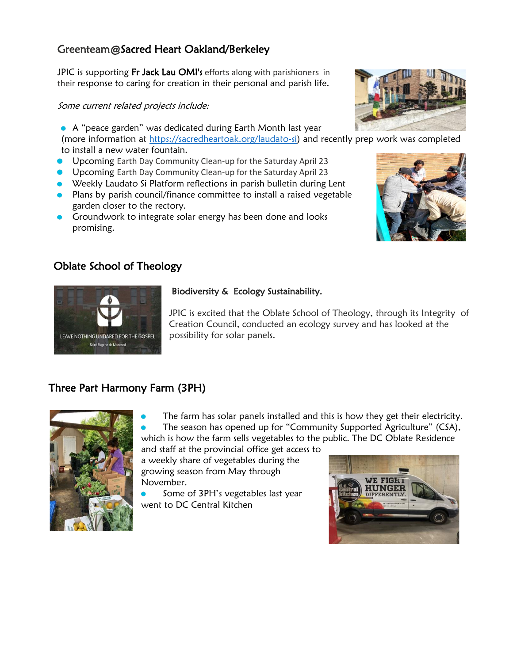# Greenteam@Sacred Heart Oakland/Berkeley

JPIC is supporting Fr Jack Lau OMI's efforts along with parishioners in their response to caring for creation in their personal and parish life.

#### Some current related projects include:

A "peace garden" was dedicated during Earth Month last year

(more information at [https://sacredheartoak.org/laudato-si\)](https://sacredheartoak.org/laudato-si) and recently prep work was completed to install a new water fountain.

- Upcoming Earth Day Community Clean-up for the Saturday April 23
- Upcoming Earth Day Community Clean-up for the Saturday April 23
- Weekly Laudato Si Platform reflections in parish bulletin during Lent
- Plans by parish council/finance committee to install a raised vegetable garden closer to the rectory.
- **Groundwork to integrate solar energy has been done and looks** promising.

# Oblate School of Theology



#### Biodiversity & Ecology Sustainability.

JPIC is excited that the Oblate School of Theology, through its Integrity of Creation Council, conducted an ecology survey and has looked at the possibility for solar panels.

# Three Part Harmony Farm (3PH)



The farm has solar panels installed and this is how they get their electricity. The season has opened up for "Community Supported Agriculture" (CSA), which is how the farm sells vegetables to the public. The DC Oblate Residence

and staff at the provincial office get access to a weekly share of vegetables during the growing season from May through November.

Some of 3PH's vegetables last year went to DC Central Kitchen





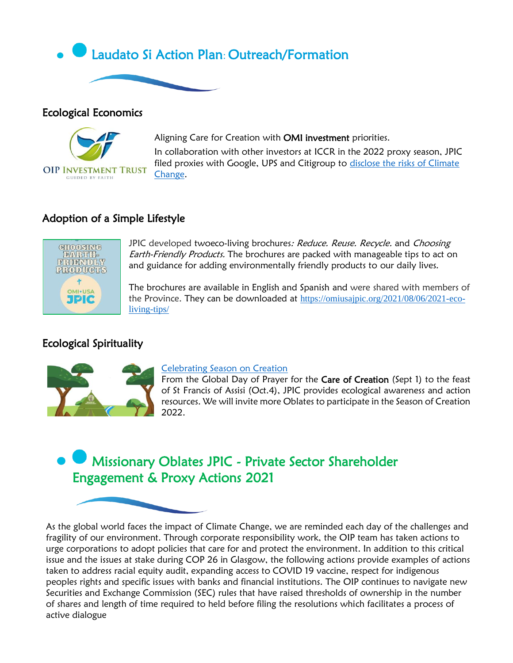

### Ecological Economics



Aligning Care for Creation with OMI investment priorities. In collaboration with other investors at ICCR in the 2022 proxy season, JPIC filed proxies with Google, UPS and Citigroup to [disclose the risks of Climate](https://www.iccr.org/slate-nine-proposals-2022-proxies-shareholders-seek-move-top-banks-cut-emissionsfund-climate)  [Change.](https://www.iccr.org/slate-nine-proposals-2022-proxies-shareholders-seek-move-top-banks-cut-emissionsfund-climate)

## Adoption of a Simple Lifestyle



JPIC developed twoeco-living brochures: Reduce. Reuse. Recycle. and Choosing Earth-Friendly Products. The brochures are packed with manageable tips to act on and guidance for adding environmentally friendly products to our daily lives.

The brochures are available in English and Spanish and were shared with members of the Province. They can be downloaded at [https://omiusajpic.org/2021/08/06/2021-eco](https://omiusajpic.org/2021/08/06/2021-eco-living-tips/)[living-tips/](https://omiusajpic.org/2021/08/06/2021-eco-living-tips/)

# Ecological Spirituality



#### [Celebrating Season on Creation](https://omiusajpic.org/2021/09/01/the-2021-season-of-creation-runs-from-sept-1-oct-4/)

From the Global Day of Prayer for the Care of Creation (Sept 1) to the feast of St Francis of Assisi (Oct.4), JPIC provides ecological awareness and action resources. We will invite more Oblates to participate in the Season of Creation 2022.

# Missionary Oblates JPIC - Private Sector Shareholder Engagement & Proxy Actions 2021

As the global world faces the impact of Climate Change, we are reminded each day of the challenges and fragility of our environment. Through corporate responsibility work, the OIP team has taken actions to urge corporations to adopt policies that care for and protect the environment. In addition to this critical issue and the issues at stake during COP 26 in Glasgow, the following actions provide examples of actions taken to address racial equity audit, expanding access to COVID 19 vaccine, respect for indigenous peoples rights and specific issues with banks and financial institutions. The OIP continues to navigate new Securities and Exchange Commission (SEC) rules that have raised thresholds of ownership in the number of shares and length of time required to held before filing the resolutions which facilitates a process of active dialogue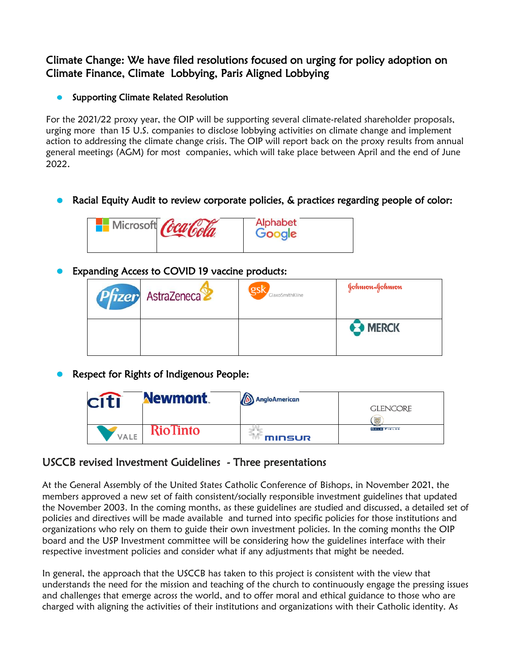# Climate Change: We have filed resolutions focused on urging for policy adoption on Climate Finance, Climate Lobbying, Paris Aligned Lobbying

#### Supporting Climate Related Resolution  $\bullet$

For the 2021/22 proxy year, the OIP will be supporting several climate-related shareholder proposals, urging more than 15 U.S. companies to disclose lobbying activities on climate change and implement action to addressing the climate change crisis. The OIP will report back on the proxy results from annual general meetings (AGM) for most companies, which will take place between April and the end of June 2022.

# Racial Equity Audit to review corporate policies, & practices regarding people of color:



# Expanding Access to COVID 19 vaccine products:

| <b>Pfizer</b> AstraZeneca | gsl<br>GlaxoSmithKline | Johnson&Johnson |
|---------------------------|------------------------|-----------------|
|                           |                        | <b>B</b> MERCK  |

Respect for Rights of Indigenous People:

|      | <b>Newmont</b> | AngloAmerican | <b>GLENCORE</b><br>霞 |
|------|----------------|---------------|----------------------|
| VALE | RioTinto       | minsur        | <b>GOLD FIELDS</b>   |

# USCCB revised Investment Guidelines - Three presentations

At the General Assembly of the United States Catholic Conference of Bishops, in November 2021, the members approved a new set of faith consistent/socially responsible investment guidelines that updated the November 2003. In the coming months, as these guidelines are studied and discussed, a detailed set of policies and directives will be made available and turned into specific policies for those institutions and organizations who rely on them to guide their own investment policies. In the coming months the OIP board and the USP Investment committee will be considering how the guidelines interface with their respective investment policies and consider what if any adjustments that might be needed.

In general, the approach that the USCCB has taken to this project is consistent with the view that understands the need for the mission and teaching of the church to continuously engage the pressing issues and challenges that emerge across the world, and to offer moral and ethical guidance to those who are charged with aligning the activities of their institutions and organizations with their Catholic identity. As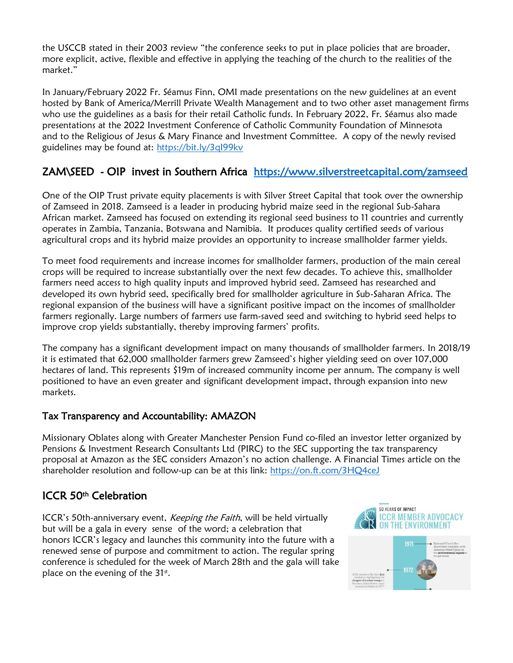the USCCB stated in their 2003 review "the conference seeks to put in place policies that are broader, more explicit, active, flexible and effective in applying the teaching of the church to the realities of the market."

In January/February 2022 Fr. Séamus Finn, OMI made presentations on the new guidelines at an event hosted by Bank of America/Merrill Private Wealth Management and to two other asset management firms who use the guidelines as a basis for their retail Catholic funds. In February 2022, Fr. Séamus also made presentations at the 2022 Investment Conference of Catholic Community Foundation of Minnesota and to the Religious of Jesus & Mary Finance and Investment Committee. A copy of the newly revised guidelines may be found at:<https://bit.ly/3qI99kv>

# ZAM\SEED - OIP invest in Southern Africa [https://www.silverstreetcapital.com/zamseed](https://nam12.safelinks.protection.outlook.com/?url=https%3A%2F%2Fwww.silverstreetcapital.com%2Fzamseed&data=04%7C01%7Crgono%40omiusa.org%7C5debf314959a4baeaa7f08d9ffd8553e%7C6d8dc4de045e41d990696c7d4bf6f6ec%7C0%7C0%7C637822126890594397%7CUnknown%7CTWFpbGZsb3d8eyJWIjoiMC4wLjAwMDAiLCJQIjoiV2luMzIiLCJBTiI6Ik1haWwiLCJXVCI6Mn0%3D%7C3000&sdata=3cocbdFMuku3tBx7RIUmKTjcZoAvZZhqNhf%2B9Z8k%2FFY%3D&reserved=0)

One of the OIP Trust private equity placements is with Silver Street Capital that took over the ownership of Zamseed in 2018. Zamseed is a leader in producing hybrid maize seed in the regional Sub-Sahara African market. Zamseed has focused on extending its regional seed business to 11 countries and currently operates in Zambia, Tanzania, Botswana and Namibia. It produces quality certified seeds of various agricultural crops and its hybrid maize provides an opportunity to increase smallholder farmer yields.

To meet food requirements and increase incomes for smallholder farmers, production of the main cereal crops will be required to increase substantially over the next few decades. To achieve this, smallholder farmers need access to high quality inputs and improved hybrid seed. Zamseed has researched and developed its own hybrid seed, specifically bred for smallholder agriculture in Sub-Saharan Africa. The regional expansion of the business will have a significant positive impact on the incomes of smallholder farmers regionally. Large numbers of farmers use farm-saved seed and switching to hybrid seed helps to improve crop yields substantially, thereby improving farmers' profits.

The company has a significant development impact on many thousands of smallholder farmers. In 2018/19 it is estimated that 62,000 smallholder farmers grew Zamseed's higher yielding seed on over 107,000 hectares of land. This represents \$19m of increased community income per annum. The company is well positioned to have an even greater and significant development impact, through expansion into new markets.

## Tax Transparency and Accountability: AMAZON

Missionary Oblates along with Greater Manchester Pension Fund co-filed an investor letter organized by Pensions & Investment Research Consultants Ltd (PIRC) to the SEC supporting the tax transparency proposal at Amazon as the SEC considers Amazon's no action challenge. A Financial Times article on the shareholder resolution and follow-up can be at this link: <https://on.ft.com/3HQ4ceJ>

# ICCR 50<sup>th</sup> Celebration

ICCR's 50th-anniversary event, Keeping the Faith, will be held virtually but will be a gala in every sense of the word; a celebration that honors ICCR's legacy and launches this community into the future with a renewed sense of purpose and commitment to action. The regular spring conference is scheduled for the week of March 28th and the gala will take place on the evening of the  $31<sup>st</sup>$ .



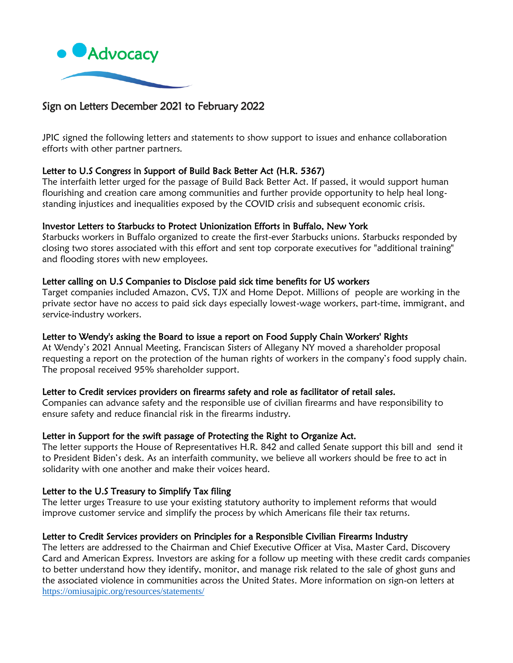

## Sign on Letters December 2021 to February 2022

JPIC signed the following letters and statements to show support to issues and enhance collaboration efforts with other partner partners.

#### Letter to U.S Congress in Support of Build Back Better Act (H.R. 5367)

The interfaith letter urged for the passage of Build Back Better Act. If passed, it would support human flourishing and creation care among communities and further provide opportunity to help heal longstanding injustices and inequalities exposed by the COVID crisis and subsequent economic crisis.

#### Investor Letters to Starbucks to Protect Unionization Efforts in Buffalo, New York

Starbucks workers in Buffalo organized to create the first-ever Starbucks unions. Starbucks responded by closing two stores associated with this effort and sent top corporate executives for "additional training" and flooding stores with new employees.

#### Letter calling on U.S Companies to Disclose paid sick time benefits for US workers

Target companies included Amazon, CVS, TJX and Home Depot. Millions of people are working in the private sector have no access to paid sick days especially lowest-wage workers, part-time, immigrant, and service-industry workers.

#### Letter to Wendy's asking the Board to issue a report on Food Supply Chain Workers' Rights

At Wendy's 2021 Annual Meeting, Franciscan Sisters of Allegany NY moved a shareholder proposal requesting a report on the protection of the human rights of workers in the company's food supply chain. The proposal received 95% shareholder support.

#### Letter to Credit services providers on firearms safety and role as facilitator of retail sales.

Companies can advance safety and the responsible use of civilian firearms and have responsibility to ensure safety and reduce financial risk in the firearms industry.

#### Letter in Support for the swift passage of Protecting the Right to Organize Act.

The letter supports the House of Representatives H.R. 842 and called Senate support this bill and send it to President Biden's desk. As an interfaith community, we believe all workers should be free to act in solidarity with one another and make their voices heard.

#### Letter to the U.S Treasury to Simplify Tax filing

The letter urges Treasure to use your existing statutory authority to implement reforms that would improve customer service and simplify the process by which Americans file their tax returns.

#### Letter to Credit Services providers on Principles for a Responsible Civilian Firearms Industry

The letters are addressed to the Chairman and Chief Executive Officer at Visa, Master Card, Discovery Card and American Express. Investors are asking for a follow up meeting with these credit cards companies to better understand how they identify, monitor, and manage risk related to the sale of ghost guns and the associated violence in communities across the United States. More information on sign-on letters at <https://omiusajpic.org/resources/statements/>